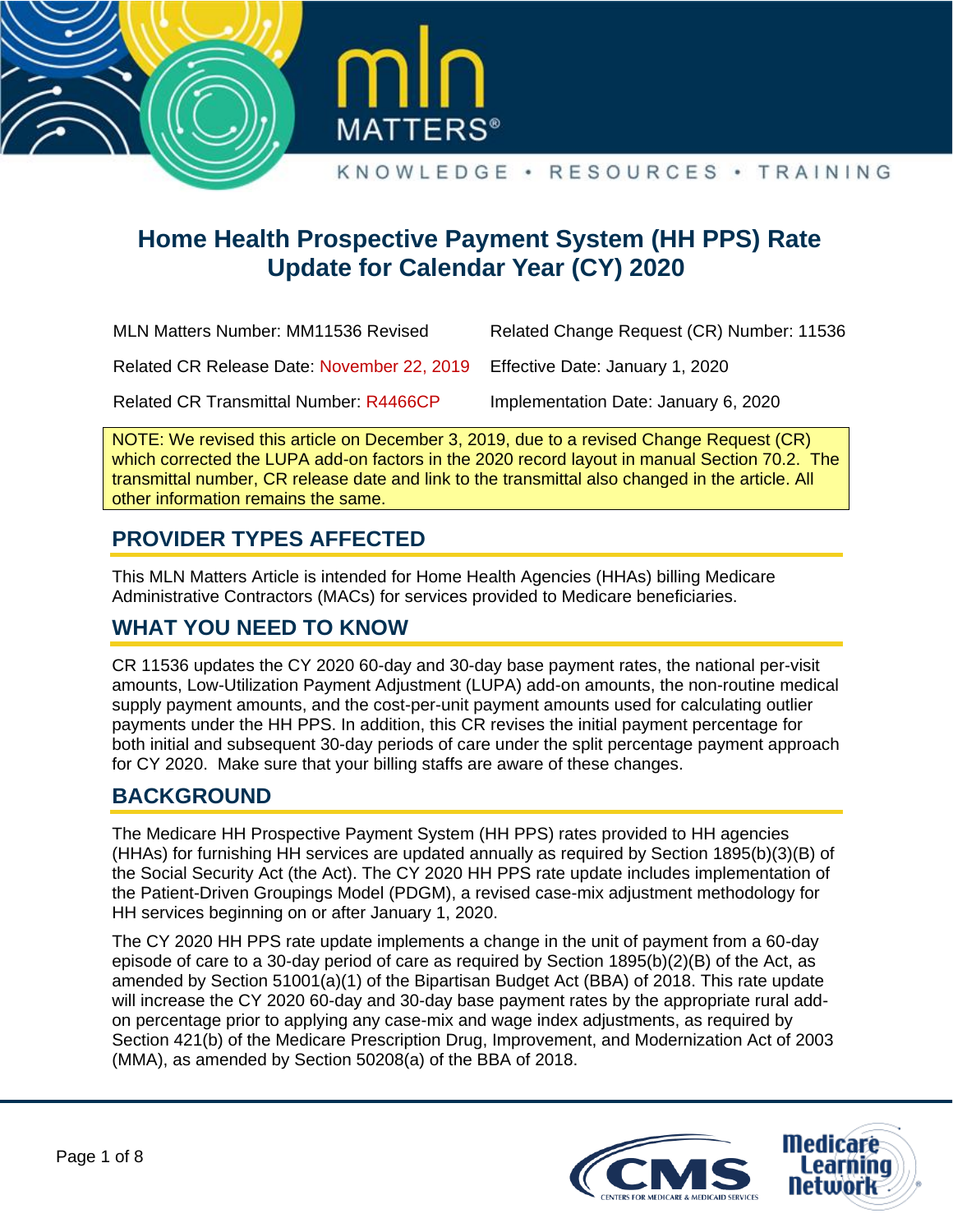



# **Home Health Prospective Payment System (HH PPS) Rate Update for Calendar Year (CY) 2020**

| <b>MLN Matters Number: MM11536 Revised</b>    | Related Change Request (CR) Number: 11536 |
|-----------------------------------------------|-------------------------------------------|
| Related CR Release Date: November 22, 2019    | Effective Date: January 1, 2020           |
| <b>Related CR Transmittal Number: R4466CP</b> | Implementation Date: January 6, 2020      |

NOTE: We revised this article on December 3, 2019, due to a revised Change Request (CR) which corrected the LUPA add-on factors in the 2020 record layout in manual Section 70.2. The transmittal number, CR release date and link to the transmittal also changed in the article. All other information remains the same.

## **PROVIDER TYPES AFFECTED**

This MLN Matters Article is intended for Home Health Agencies (HHAs) billing Medicare Administrative Contractors (MACs) for services provided to Medicare beneficiaries.

## **WHAT YOU NEED TO KNOW**

CR 11536 updates the CY 2020 60-day and 30-day base payment rates, the national per-visit amounts, Low-Utilization Payment Adjustment (LUPA) add-on amounts, the non-routine medical supply payment amounts, and the cost-per-unit payment amounts used for calculating outlier payments under the HH PPS. In addition, this CR revises the initial payment percentage for both initial and subsequent 30-day periods of care under the split percentage payment approach for CY 2020. Make sure that your billing staffs are aware of these changes.

## **BACKGROUND**

The Medicare HH Prospective Payment System (HH PPS) rates provided to HH agencies (HHAs) for furnishing HH services are updated annually as required by Section 1895(b)(3)(B) of the Social Security Act (the Act). The CY 2020 HH PPS rate update includes implementation of the Patient-Driven Groupings Model (PDGM), a revised case-mix adjustment methodology for HH services beginning on or after January 1, 2020.

The CY 2020 HH PPS rate update implements a change in the unit of payment from a 60-day episode of care to a 30-day period of care as required by Section 1895(b)(2)(B) of the Act, as amended by Section 51001(a)(1) of the Bipartisan Budget Act (BBA) of 2018. This rate update will increase the CY 2020 60-day and 30-day base payment rates by the appropriate rural addon percentage prior to applying any case-mix and wage index adjustments, as required by Section 421(b) of the Medicare Prescription Drug, Improvement, and Modernization Act of 2003 (MMA), as amended by Section 50208(a) of the BBA of 2018.

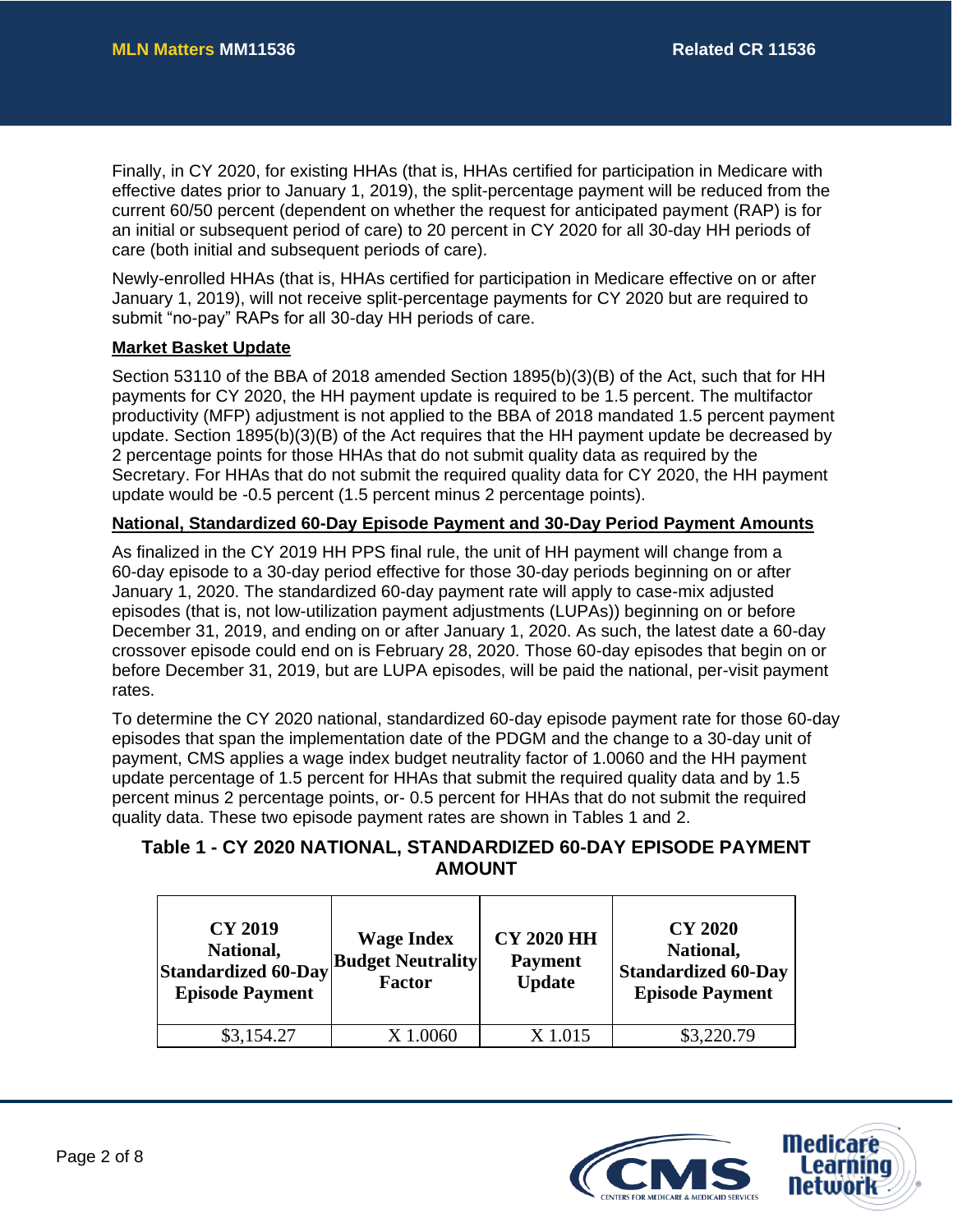Finally, in CY 2020, for existing HHAs (that is, HHAs certified for participation in Medicare with effective dates prior to January 1, 2019), the split-percentage payment will be reduced from the current 60/50 percent (dependent on whether the request for anticipated payment (RAP) is for an initial or subsequent period of care) to 20 percent in CY 2020 for all 30-day HH periods of care (both initial and subsequent periods of care).

Newly-enrolled HHAs (that is, HHAs certified for participation in Medicare effective on or after January 1, 2019), will not receive split-percentage payments for CY 2020 but are required to submit "no-pay" RAPs for all 30-day HH periods of care.

#### **Market Basket Update**

Section 53110 of the BBA of 2018 amended Section 1895(b)(3)(B) of the Act, such that for HH payments for CY 2020, the HH payment update is required to be 1.5 percent. The multifactor productivity (MFP) adjustment is not applied to the BBA of 2018 mandated 1.5 percent payment update. Section 1895(b)(3)(B) of the Act requires that the HH payment update be decreased by 2 percentage points for those HHAs that do not submit quality data as required by the Secretary. For HHAs that do not submit the required quality data for CY 2020, the HH payment update would be -0.5 percent (1.5 percent minus 2 percentage points).

#### **National, Standardized 60-Day Episode Payment and 30-Day Period Payment Amounts**

As finalized in the CY 2019 HH PPS final rule, the unit of HH payment will change from a 60-day episode to a 30-day period effective for those 30-day periods beginning on or after January 1, 2020. The standardized 60-day payment rate will apply to case-mix adjusted episodes (that is, not low-utilization payment adjustments (LUPAs)) beginning on or before December 31, 2019, and ending on or after January 1, 2020. As such, the latest date a 60-day crossover episode could end on is February 28, 2020. Those 60-day episodes that begin on or before December 31, 2019, but are LUPA episodes, will be paid the national, per-visit payment rates.

To determine the CY 2020 national, standardized 60-day episode payment rate for those 60-day episodes that span the implementation date of the PDGM and the change to a 30-day unit of payment, CMS applies a wage index budget neutrality factor of 1.0060 and the HH payment update percentage of 1.5 percent for HHAs that submit the required quality data and by 1.5 percent minus 2 percentage points, or- 0.5 percent for HHAs that do not submit the required quality data. These two episode payment rates are shown in Tables 1 and 2.

## **Table 1 - CY 2020 NATIONAL, STANDARDIZED 60-DAY EPISODE PAYMENT AMOUNT**

| <b>CY 2019</b><br>National,<br><b>Standardized 60-Day</b><br><b>Episode Payment</b> | <b>Wage Index</b><br><b>Budget Neutrality</b><br><b>Factor</b> | <b>CY 2020 HH</b><br><b>Payment</b><br><b>Update</b> | <b>CY 2020</b><br>National,<br><b>Standardized 60-Day</b><br><b>Episode Payment</b> |
|-------------------------------------------------------------------------------------|----------------------------------------------------------------|------------------------------------------------------|-------------------------------------------------------------------------------------|
| \$3,154.27                                                                          | X 1.0060                                                       | X 1.015                                              | \$3,220.79                                                                          |

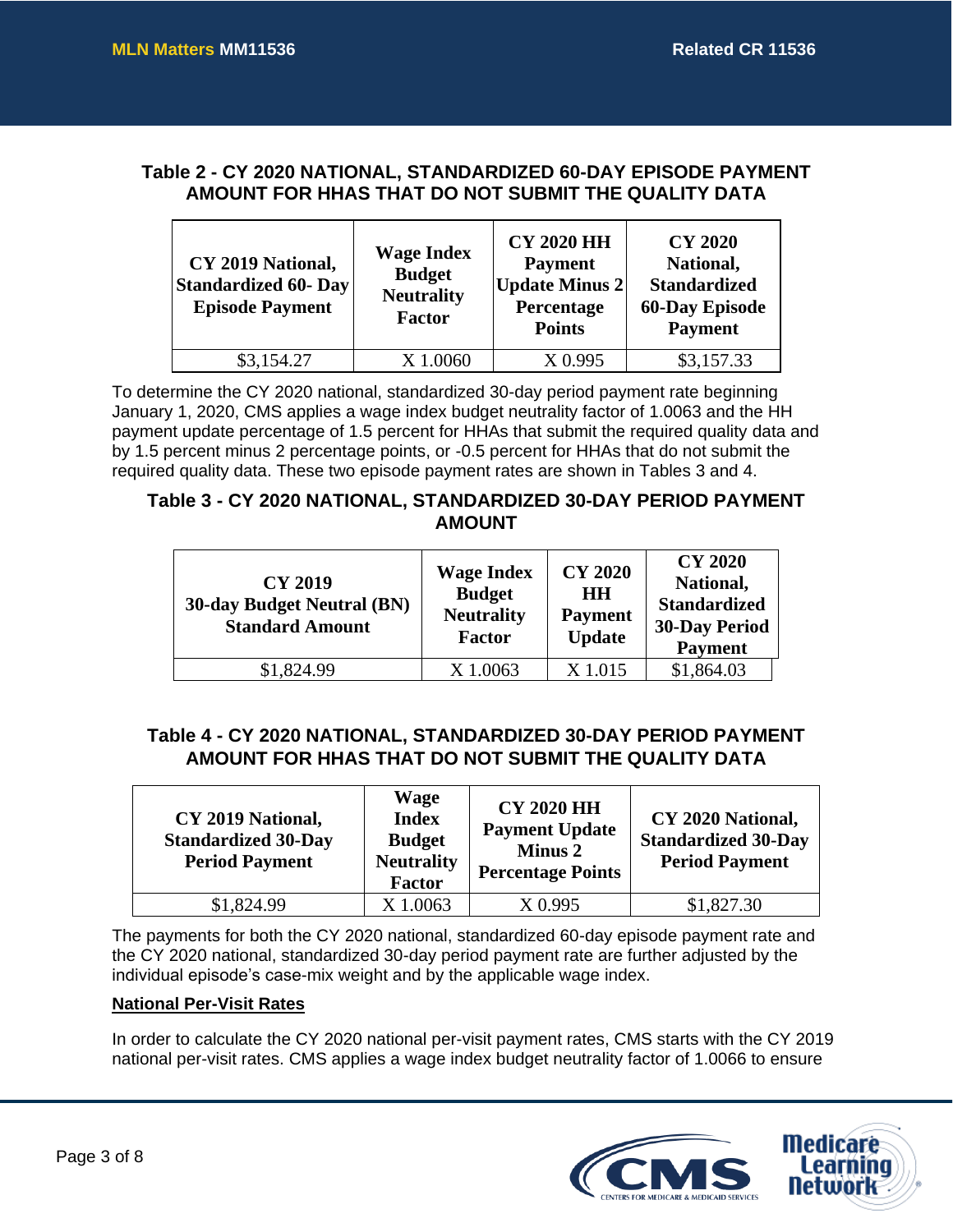### **Table 2 - CY 2020 NATIONAL, STANDARDIZED 60-DAY EPISODE PAYMENT AMOUNT FOR HHAS THAT DO NOT SUBMIT THE QUALITY DATA**

| CY 2019 National,<br><b>Standardized 60- Day</b><br><b>Episode Payment</b> | <b>Wage Index</b><br><b>Budget</b><br><b>Neutrality</b><br><b>Factor</b> | <b>CY 2020 HH</b><br><b>Payment</b><br><b>Update Minus 2</b><br>Percentage<br><b>Points</b> | <b>CY 2020</b><br>National,<br><b>Standardized</b><br><b>60-Day Episode</b><br><b>Payment</b> |
|----------------------------------------------------------------------------|--------------------------------------------------------------------------|---------------------------------------------------------------------------------------------|-----------------------------------------------------------------------------------------------|
| \$3,154.27                                                                 | X 1.0060                                                                 | X 0.995                                                                                     | \$3,157.33                                                                                    |

To determine the CY 2020 national, standardized 30-day period payment rate beginning January 1, 2020, CMS applies a wage index budget neutrality factor of 1.0063 and the HH payment update percentage of 1.5 percent for HHAs that submit the required quality data and by 1.5 percent minus 2 percentage points, or -0.5 percent for HHAs that do not submit the required quality data. These two episode payment rates are shown in Tables 3 and 4.

#### **Table 3 - CY 2020 NATIONAL, STANDARDIZED 30-DAY PERIOD PAYMENT AMOUNT**

| <b>CY 2019</b><br><b>30-day Budget Neutral (BN)</b><br><b>Standard Amount</b> | <b>Wage Index</b><br><b>Budget</b><br><b>Neutrality</b><br><b>Factor</b> | <b>CY 2020</b><br>HН<br><b>Payment</b><br><b>Update</b> | <b>CY 2020</b><br>National,<br><b>Standardized</b><br><b>30-Day Period</b><br><b>Payment</b> |
|-------------------------------------------------------------------------------|--------------------------------------------------------------------------|---------------------------------------------------------|----------------------------------------------------------------------------------------------|
| \$1,824.99                                                                    | X 1.0063                                                                 | X 1.015                                                 | \$1,864.03                                                                                   |

## **Table 4 - CY 2020 NATIONAL, STANDARDIZED 30-DAY PERIOD PAYMENT AMOUNT FOR HHAS THAT DO NOT SUBMIT THE QUALITY DATA**

| CY 2019 National,<br><b>Standardized 30-Day</b><br><b>Period Payment</b> | <b>Wage</b><br><b>Index</b><br><b>Budget</b><br><b>Neutrality</b><br><b>Factor</b> | <b>CY 2020 HH</b><br><b>Payment Update</b><br><b>Minus 2</b><br><b>Percentage Points</b> | CY 2020 National,<br><b>Standardized 30-Day</b><br><b>Period Payment</b> |
|--------------------------------------------------------------------------|------------------------------------------------------------------------------------|------------------------------------------------------------------------------------------|--------------------------------------------------------------------------|
| \$1,824.99                                                               | X 1.0063                                                                           | X 0.995                                                                                  | \$1,827.30                                                               |

The payments for both the CY 2020 national, standardized 60-day episode payment rate and the CY 2020 national, standardized 30-day period payment rate are further adjusted by the individual episode's case-mix weight and by the applicable wage index.

#### **National Per-Visit Rates**

In order to calculate the CY 2020 national per-visit payment rates, CMS starts with the CY 2019 national per-visit rates. CMS applies a wage index budget neutrality factor of 1.0066 to ensure

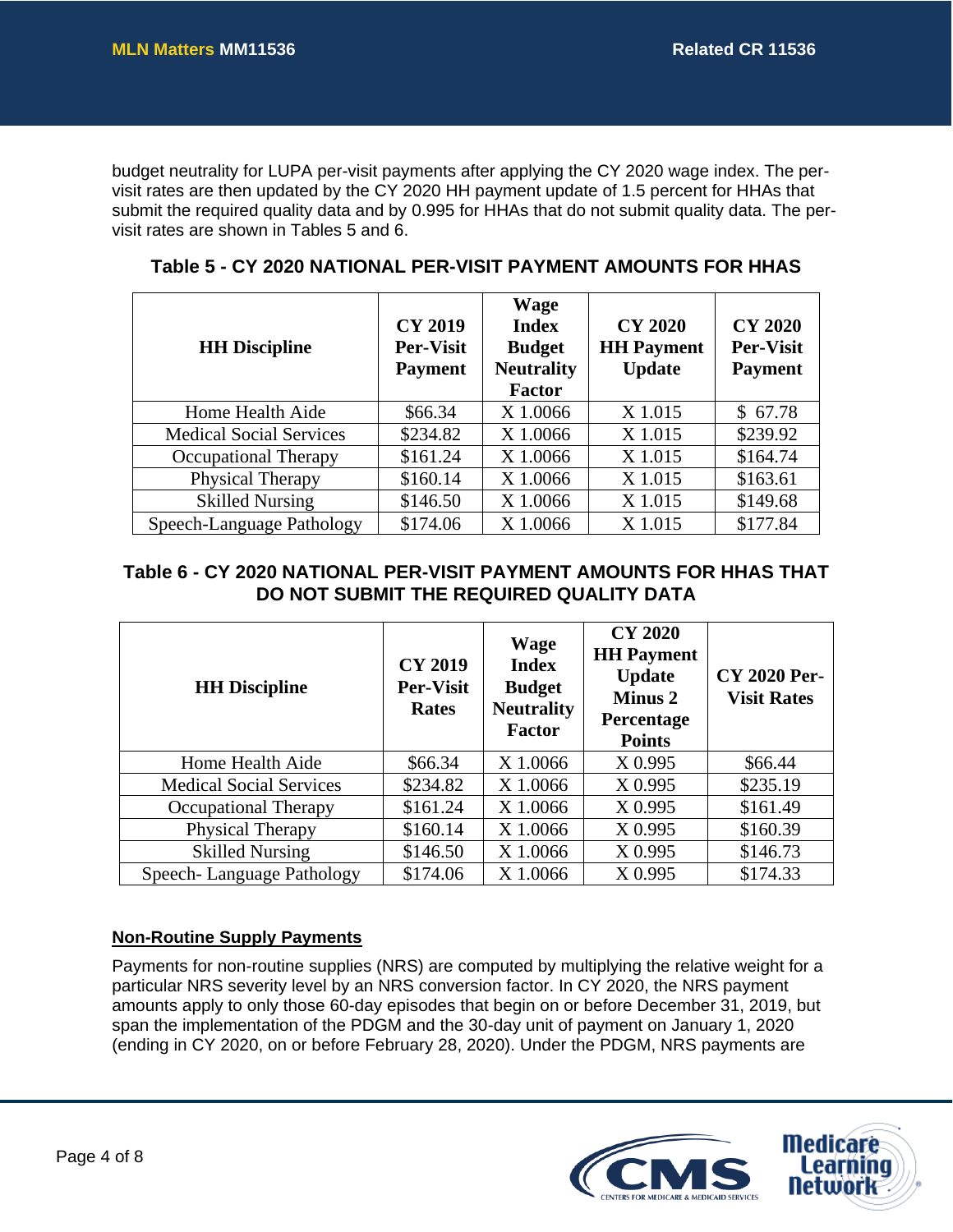budget neutrality for LUPA per-visit payments after applying the CY 2020 wage index. The pervisit rates are then updated by the CY 2020 HH payment update of 1.5 percent for HHAs that submit the required quality data and by 0.995 for HHAs that do not submit quality data. The pervisit rates are shown in Tables 5 and 6.

| <b>HH</b> Discipline           | <b>CY 2019</b><br><b>Per-Visit</b><br><b>Payment</b> | <b>Wage</b><br><b>Index</b><br><b>Budget</b><br><b>Neutrality</b><br><b>Factor</b> | <b>CY 2020</b><br><b>HH Payment</b><br><b>Update</b> | <b>CY 2020</b><br><b>Per-Visit</b><br><b>Payment</b> |
|--------------------------------|------------------------------------------------------|------------------------------------------------------------------------------------|------------------------------------------------------|------------------------------------------------------|
| Home Health Aide               | \$66.34                                              | X 1.0066                                                                           | X 1.015                                              | \$67.78                                              |
| <b>Medical Social Services</b> | \$234.82                                             | X 1.0066                                                                           | X 1.015                                              | \$239.92                                             |
| Occupational Therapy           | \$161.24                                             | X 1.0066                                                                           | X 1.015                                              | \$164.74                                             |
| Physical Therapy               | \$160.14                                             | X 1.0066                                                                           | X 1.015                                              | \$163.61                                             |
| <b>Skilled Nursing</b>         | \$146.50                                             | X 1.0066                                                                           | X 1.015                                              | \$149.68                                             |
| Speech-Language Pathology      | \$174.06                                             | X 1.0066                                                                           | X 1.015                                              | \$177.84                                             |

**Table 5 - CY 2020 NATIONAL PER-VISIT PAYMENT AMOUNTS FOR HHAS**

## **Table 6 - CY 2020 NATIONAL PER-VISIT PAYMENT AMOUNTS FOR HHAS THAT DO NOT SUBMIT THE REQUIRED QUALITY DATA**

| <b>HH Discipline</b>           | <b>CY 2019</b><br><b>Per-Visit</b><br><b>Rates</b> | <b>Wage</b><br><b>Index</b><br><b>Budget</b><br><b>Neutrality</b><br><b>Factor</b> | <b>CY 2020</b><br><b>HH</b> Payment<br><b>Update</b><br><b>Minus 2</b><br>Percentage<br><b>Points</b> | <b>CY 2020 Per-</b><br><b>Visit Rates</b> |
|--------------------------------|----------------------------------------------------|------------------------------------------------------------------------------------|-------------------------------------------------------------------------------------------------------|-------------------------------------------|
| Home Health Aide               | \$66.34                                            | X 1.0066                                                                           | X 0.995                                                                                               | \$66.44                                   |
| <b>Medical Social Services</b> | \$234.82                                           | X 1.0066                                                                           | X 0.995                                                                                               | \$235.19                                  |
| Occupational Therapy           | \$161.24                                           | X 1.0066                                                                           | X 0.995                                                                                               | \$161.49                                  |
| Physical Therapy               | \$160.14                                           | X 1.0066                                                                           | X 0.995                                                                                               | \$160.39                                  |
| <b>Skilled Nursing</b>         | \$146.50                                           | X 1.0066                                                                           | X 0.995                                                                                               | \$146.73                                  |
| Speech-Language Pathology      | \$174.06                                           | X 1.0066                                                                           | X 0.995                                                                                               | \$174.33                                  |

#### **Non-Routine Supply Payments**

Payments for non-routine supplies (NRS) are computed by multiplying the relative weight for a particular NRS severity level by an NRS conversion factor. In CY 2020, the NRS payment amounts apply to only those 60-day episodes that begin on or before December 31, 2019, but span the implementation of the PDGM and the 30-day unit of payment on January 1, 2020 (ending in CY 2020, on or before February 28, 2020). Under the PDGM, NRS payments are

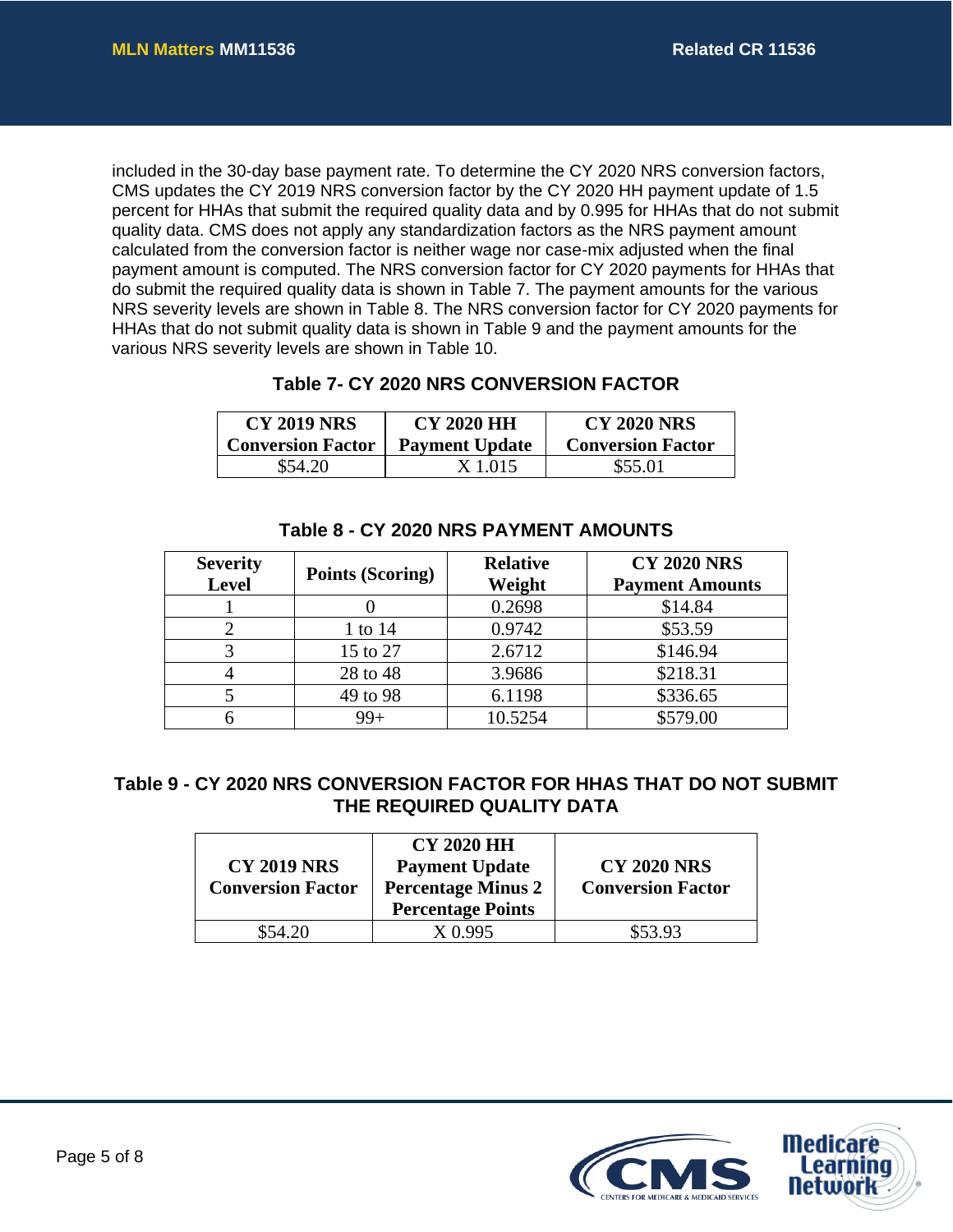included in the 30-day base payment rate. To determine the CY 2020 NRS conversion factors, CMS updates the CY 2019 NRS conversion factor by the CY 2020 HH payment update of 1.5 percent for HHAs that submit the required quality data and by 0.995 for HHAs that do not submit quality data. CMS does not apply any standardization factors as the NRS payment amount calculated from the conversion factor is neither wage nor case-mix adjusted when the final payment amount is computed. The NRS conversion factor for CY 2020 payments for HHAs that do submit the required quality data is shown in Table 7. The payment amounts for the various NRS severity levels are shown in Table 8. The NRS conversion factor for CY 2020 payments for HHAs that do not submit quality data is shown in Table 9 and the payment amounts for the various NRS severity levels are shown in Table 10.

### **Table 7- CY 2020 NRS CONVERSION FACTOR**

| <b>CY 2019 NRS</b>       | <b>CY 2020 HH</b>     | <b>CY 2020 NRS</b>       |
|--------------------------|-----------------------|--------------------------|
| <b>Conversion Factor</b> | <b>Payment Update</b> | <b>Conversion Factor</b> |
| \$54.20                  | X 1.015               | \$55.01                  |

| <b>Severity</b><br>Level | <b>Points (Scoring)</b> | <b>Relative</b><br>Weight | <b>CY 2020 NRS</b><br><b>Payment Amounts</b> |
|--------------------------|-------------------------|---------------------------|----------------------------------------------|
|                          |                         | 0.2698                    | \$14.84                                      |
|                          | 1 to 14                 | 0.9742                    | \$53.59                                      |
|                          | 15 to 27                | 2.6712                    | \$146.94                                     |
|                          | 28 to 48                | 3.9686                    | \$218.31                                     |
|                          | 49 to 98                | 6.1198                    | \$336.65                                     |
|                          | 99+                     | 10.5254                   | \$579.00                                     |

#### **Table 8 - CY 2020 NRS PAYMENT AMOUNTS**

## **Table 9 - CY 2020 NRS CONVERSION FACTOR FOR HHAS THAT DO NOT SUBMIT THE REQUIRED QUALITY DATA**

| <b>CY 2019 NRS</b><br><b>Conversion Factor</b> | <b>CY 2020 HH</b><br><b>Payment Update</b><br><b>Percentage Minus 2</b><br><b>Percentage Points</b> | <b>CY 2020 NRS</b><br><b>Conversion Factor</b> |
|------------------------------------------------|-----------------------------------------------------------------------------------------------------|------------------------------------------------|
| \$54.20                                        | X 0.995                                                                                             | \$53.93                                        |

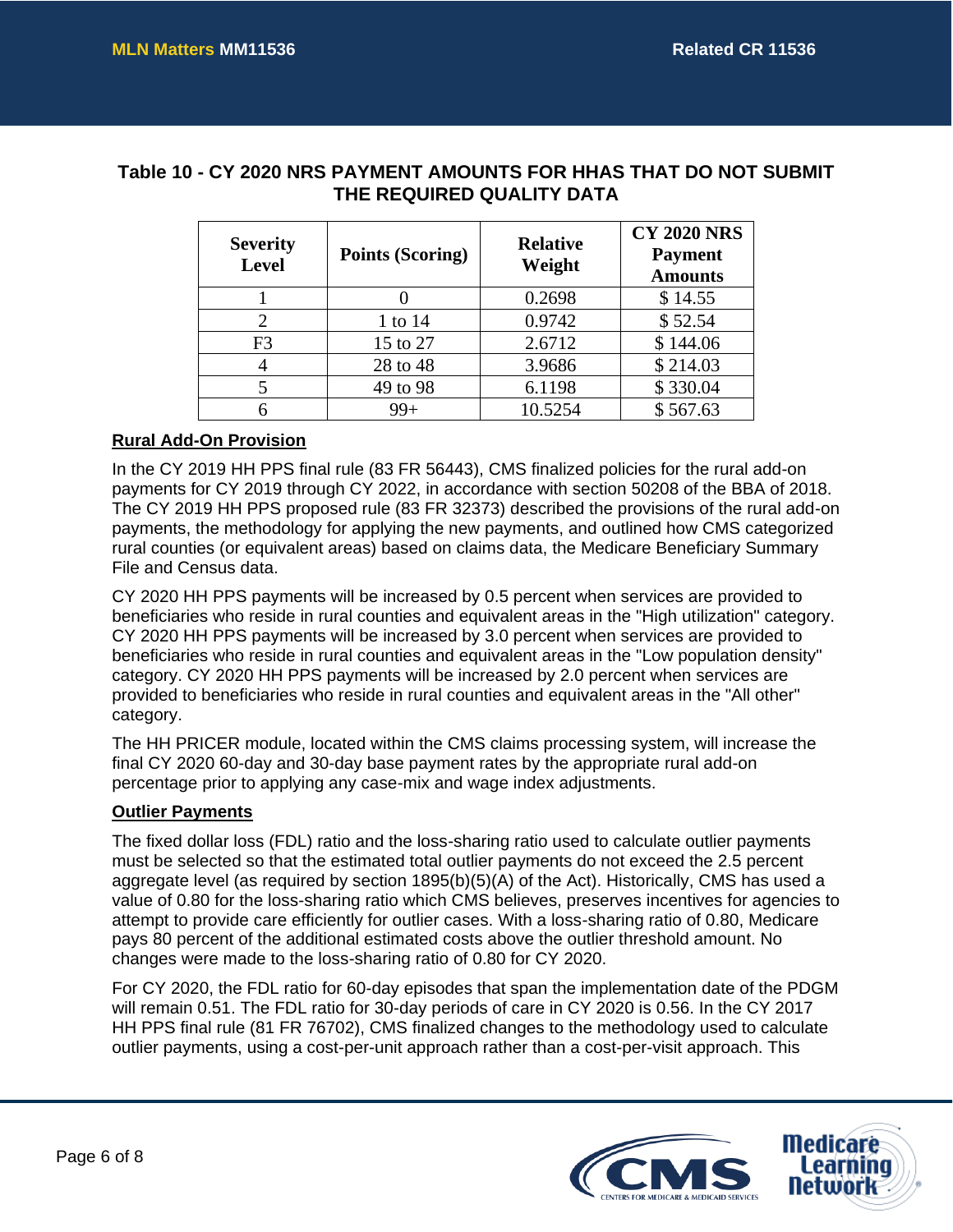### **Table 10 - CY 2020 NRS PAYMENT AMOUNTS FOR HHAS THAT DO NOT SUBMIT THE REQUIRED QUALITY DATA**

| <b>Severity</b><br><b>Level</b> | <b>Points (Scoring)</b> | <b>Relative</b><br>Weight | <b>CY 2020 NRS</b><br><b>Payment</b><br><b>Amounts</b> |
|---------------------------------|-------------------------|---------------------------|--------------------------------------------------------|
|                                 |                         | 0.2698                    | \$14.55                                                |
| 2                               | 1 to 14                 | 0.9742                    | \$52.54                                                |
| F <sub>3</sub>                  | 15 to 27                | 2.6712                    | \$144.06                                               |
| 4                               | 28 to 48                | 3.9686                    | \$214.03                                               |
|                                 | 49 to 98                | 6.1198                    | \$330.04                                               |
| 6                               | $99+$                   | 10.5254                   | \$567.63                                               |

#### **Rural Add-On Provision**

In the CY 2019 HH PPS final rule (83 FR 56443), CMS finalized policies for the rural add-on payments for CY 2019 through CY 2022, in accordance with section 50208 of the BBA of 2018. The CY 2019 HH PPS proposed rule (83 FR 32373) described the provisions of the rural add-on payments, the methodology for applying the new payments, and outlined how CMS categorized rural counties (or equivalent areas) based on claims data, the Medicare Beneficiary Summary File and Census data.

CY 2020 HH PPS payments will be increased by 0.5 percent when services are provided to beneficiaries who reside in rural counties and equivalent areas in the "High utilization" category. CY 2020 HH PPS payments will be increased by 3.0 percent when services are provided to beneficiaries who reside in rural counties and equivalent areas in the "Low population density" category. CY 2020 HH PPS payments will be increased by 2.0 percent when services are provided to beneficiaries who reside in rural counties and equivalent areas in the "All other" category.

The HH PRICER module, located within the CMS claims processing system, will increase the final CY 2020 60-day and 30-day base payment rates by the appropriate rural add-on percentage prior to applying any case-mix and wage index adjustments.

#### **Outlier Payments**

The fixed dollar loss (FDL) ratio and the loss-sharing ratio used to calculate outlier payments must be selected so that the estimated total outlier payments do not exceed the 2.5 percent aggregate level (as required by section 1895(b)(5)(A) of the Act). Historically, CMS has used a value of 0.80 for the loss-sharing ratio which CMS believes, preserves incentives for agencies to attempt to provide care efficiently for outlier cases. With a loss-sharing ratio of 0.80, Medicare pays 80 percent of the additional estimated costs above the outlier threshold amount. No changes were made to the loss-sharing ratio of 0.80 for CY 2020.

For CY 2020, the FDL ratio for 60-day episodes that span the implementation date of the PDGM will remain 0.51. The FDL ratio for 30-day periods of care in CY 2020 is 0.56. In the CY 2017 HH PPS final rule (81 FR 76702), CMS finalized changes to the methodology used to calculate outlier payments, using a cost-per-unit approach rather than a cost-per-visit approach. This

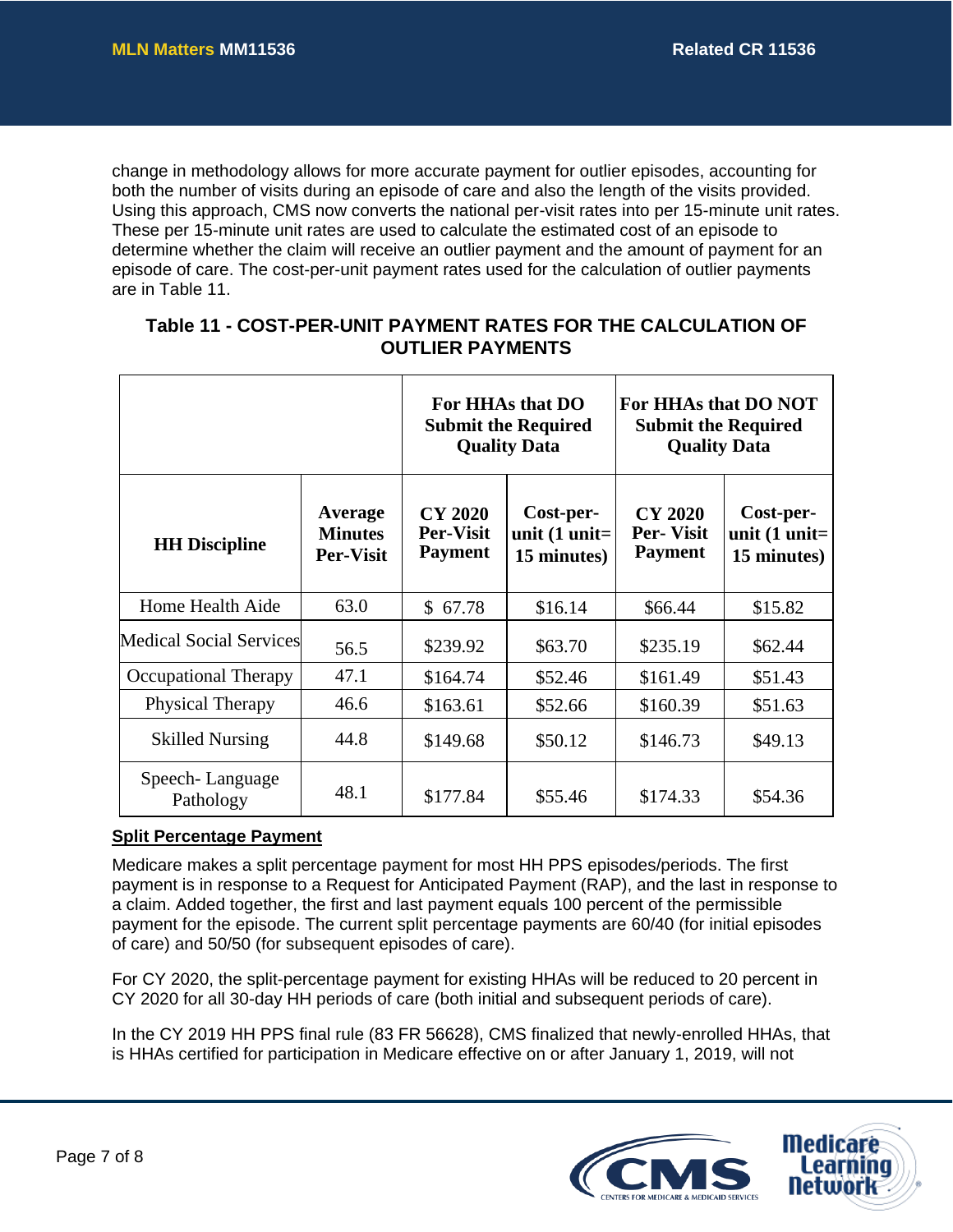change in methodology allows for more accurate payment for outlier episodes, accounting for both the number of visits during an episode of care and also the length of the visits provided. Using this approach, CMS now converts the national per-visit rates into per 15-minute unit rates. These per 15-minute unit rates are used to calculate the estimated cost of an episode to determine whether the claim will receive an outlier payment and the amount of payment for an episode of care. The cost-per-unit payment rates used for the calculation of outlier payments are in Table 11.

| <b>OUTLIER PAYMENTS</b> |                  |                             |  |
|-------------------------|------------------|-----------------------------|--|
|                         | For HHAs that DO | <b>For HHAs that DO NOT</b> |  |

**Table 11 - COST-PER-UNIT PAYMENT RATES FOR THE CALCULATION OF** 

|                                |                                               | For HHAs that DO<br><b>Submit the Required</b><br><b>Quality Data</b> |                                                    | For HHAs that DO NOT<br><b>Submit the Required</b><br><b>Quality Data</b> |                                                    |
|--------------------------------|-----------------------------------------------|-----------------------------------------------------------------------|----------------------------------------------------|---------------------------------------------------------------------------|----------------------------------------------------|
| <b>HH</b> Discipline           | Average<br><b>Minutes</b><br><b>Per-Visit</b> | <b>CY 2020</b><br><b>Per-Visit</b><br><b>Payment</b>                  | Cost-per-<br>unit $(1 \text{ unit}$<br>15 minutes) | <b>CY 2020</b><br><b>Per-Visit</b><br><b>Payment</b>                      | Cost-per-<br>unit $(1 \text{ unit}$<br>15 minutes) |
| Home Health Aide               | 63.0                                          | \$67.78                                                               | \$16.14                                            | \$66.44                                                                   | \$15.82                                            |
| <b>Medical Social Services</b> | 56.5                                          | \$239.92                                                              | \$63.70                                            | \$235.19                                                                  | \$62.44                                            |
| Occupational Therapy           | 47.1                                          | \$164.74                                                              | \$52.46                                            | \$161.49                                                                  | \$51.43                                            |
| Physical Therapy               | 46.6                                          | \$163.61                                                              | \$52.66                                            | \$160.39                                                                  | \$51.63                                            |
| <b>Skilled Nursing</b>         | 44.8                                          | \$149.68                                                              | \$50.12                                            | \$146.73                                                                  | \$49.13                                            |
| Speech-Language<br>Pathology   | 48.1                                          | \$177.84                                                              | \$55.46                                            | \$174.33                                                                  | \$54.36                                            |

#### **Split Percentage Payment**

Medicare makes a split percentage payment for most HH PPS episodes/periods. The first payment is in response to a Request for Anticipated Payment (RAP), and the last in response to a claim. Added together, the first and last payment equals 100 percent of the permissible payment for the episode. The current split percentage payments are 60/40 (for initial episodes of care) and 50/50 (for subsequent episodes of care).

For CY 2020, the split-percentage payment for existing HHAs will be reduced to 20 percent in CY 2020 for all 30-day HH periods of care (both initial and subsequent periods of care).

In the CY 2019 HH PPS final rule (83 FR 56628), CMS finalized that newly-enrolled HHAs, that is HHAs certified for participation in Medicare effective on or after January 1, 2019, will not